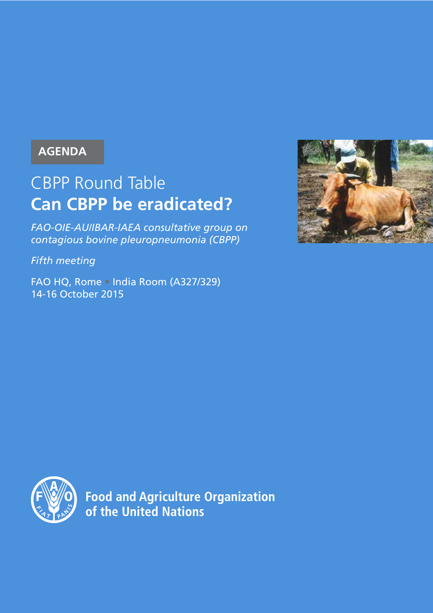## **AGENDA**

# CBPP Round Table **Can CBPP be eradicated?**

*FAO-OIE-AU/IBAR-IAEA consultative group on contagious bovine pleuropneumonia (CBPP)*

*Fifth meeting*

FAO HQ, Rome **•** India Room (A327/329) 14-16 October 2015





**Food and Agriculture Organization** of the United Nations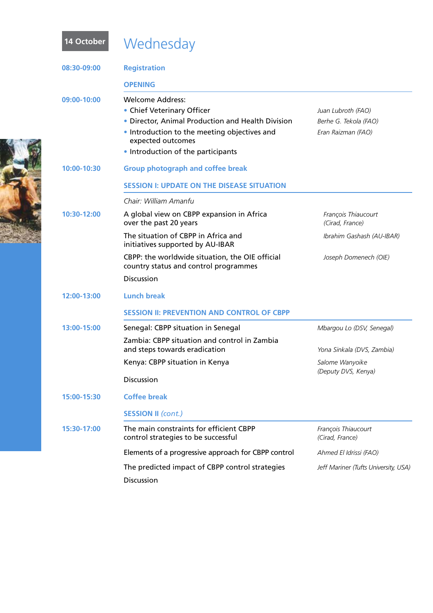| 14 October  | Wednesday                                                                                                                                                                                                             |                                                                   |
|-------------|-----------------------------------------------------------------------------------------------------------------------------------------------------------------------------------------------------------------------|-------------------------------------------------------------------|
| 08:30-09:00 | <b>Registration</b>                                                                                                                                                                                                   |                                                                   |
|             | <b>OPENING</b>                                                                                                                                                                                                        |                                                                   |
| 09:00-10:00 | <b>Welcome Address:</b><br>• Chief Veterinary Officer<br>• Director, Animal Production and Health Division<br>• Introduction to the meeting objectives and<br>expected outcomes<br>• Introduction of the participants | Juan Lubroth (FAO)<br>Berhe G. Tekola (FAO)<br>Eran Raizman (FAO) |
| 10:00-10:30 | <b>Group photograph and coffee break</b>                                                                                                                                                                              |                                                                   |
|             | <b>SESSION I: UPDATE ON THE DISEASE SITUATION</b>                                                                                                                                                                     |                                                                   |
|             | Chair: William Amanfu                                                                                                                                                                                                 |                                                                   |
| 10:30-12:00 | A global view on CBPP expansion in Africa<br>over the past 20 years                                                                                                                                                   | François Thiaucourt<br>(Cirad, France)                            |
|             | The situation of CBPP in Africa and<br>initiatives supported by AU-IBAR                                                                                                                                               | Ibrahim Gashash (AU-IBAR)                                         |
|             | CBPP: the worldwide situation, the OIE official<br>country status and control programmes                                                                                                                              | Joseph Domenech (OIE)                                             |
|             | <b>Discussion</b>                                                                                                                                                                                                     |                                                                   |
| 12:00-13:00 | <b>Lunch break</b>                                                                                                                                                                                                    |                                                                   |
|             | <b>SESSION II: PREVENTION AND CONTROL OF CBPP</b>                                                                                                                                                                     |                                                                   |
| 13:00-15:00 | Senegal: CBPP situation in Senegal                                                                                                                                                                                    | Mbargou Lo (DSV, Senegal)                                         |
|             | Zambia: CBPP situation and control in Zambia<br>and steps towards eradication                                                                                                                                         | Yona Sinkala (DVS, Zambia)                                        |
|             | Kenya: CBPP situation in Kenya                                                                                                                                                                                        | Salome Wanyoike                                                   |
|             | <b>Discussion</b>                                                                                                                                                                                                     | (Deputy DVS, Kenya)                                               |
| 15:00-15:30 | <b>Coffee break</b>                                                                                                                                                                                                   |                                                                   |
|             | <b>SESSION II (cont.)</b>                                                                                                                                                                                             |                                                                   |
| 15:30-17:00 | The main constraints for efficient CBPP<br>control strategies to be successful                                                                                                                                        | François Thiaucourt<br>(Cirad, France)                            |
|             | Elements of a progressive approach for CBPP control                                                                                                                                                                   | Ahmed El Idrissi (FAO)                                            |
|             | The predicted impact of CBPP control strategies<br>Discussion                                                                                                                                                         | Jeff Mariner (Tufts University, USA)                              |

**CERTIFICATE**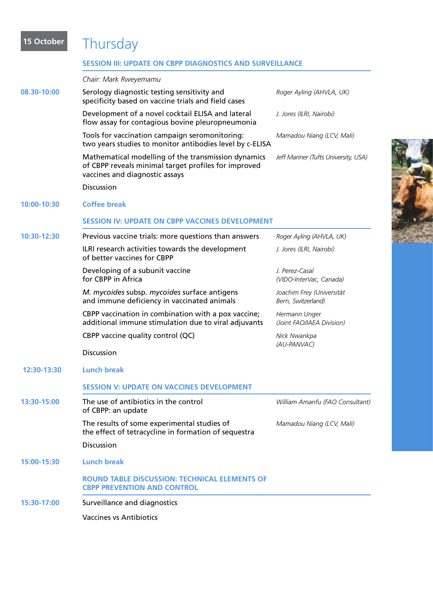## **15 October** Thursday

## **Session III: Update on CBPP Diagnostics and Surveillance**

| Chair: Mark Rweyemamu                                                                                                                         |                                                 |
|-----------------------------------------------------------------------------------------------------------------------------------------------|-------------------------------------------------|
| Serology diagnostic testing sensitivity and<br>specificity based on vaccine trials and field cases                                            | Roger Ayling (AHVLA, UK)                        |
| Development of a novel cocktail ELISA and lateral<br>flow assay for contagious bovine pleuropneumonia                                         | J. Jores (ILRI, Nairobi)                        |
| Tools for vaccination campaign seromonitoring:<br>two years studies to monitor antibodies level by c-ELISA                                    | Mamadou Niang (LCV, Mali)                       |
| Mathematical modelling of the transmission dynamics<br>of CBPP reveals minimal target profiles for improved<br>vaccines and diagnostic assays | Jeff Mariner (Tufts University, USA)            |
| Discussion                                                                                                                                    |                                                 |
| <b>Coffee break</b>                                                                                                                           |                                                 |
| <b>SESSION IV: UPDATE ON CBPP VACCINES DEVELOPMENT</b>                                                                                        |                                                 |
| Previous vaccine trials: more questions than answers                                                                                          | Roger Ayling (AHVLA, UK)                        |
| ILRI research activities towards the development<br>of better vaccines for CBPP                                                               | J. Jores (ILRI, Nairobi)                        |
| Developing of a subunit vaccine<br>for CBPP in Africa                                                                                         | J. Perez-Casal<br>(VIDO-InterVac, Canada)       |
| M. mycoides subsp. mycoides surface antigens<br>and immune deficiency in vaccinated animals                                                   | Joachim Frey (Universität<br>Bern, Switzerland) |
| CBPP vaccination in combination with a pox vaccine;<br>additional immune stimulation due to viral adjuvants                                   | Hermann Unger<br>(Joint FAO/IAEA Division)      |
| CBPP vaccine quality control (QC)                                                                                                             | Nick Nwankpa<br>(AU-PANVAC)                     |
| <b>Discussion</b>                                                                                                                             |                                                 |
| <b>Lunch break</b>                                                                                                                            |                                                 |
| <b>SESSION V: UPDATE ON VACCINES DEVELOPMENT</b>                                                                                              |                                                 |
| The use of antibiotics in the control<br>of CBPP: an update                                                                                   | William Amanfu (FAO Consultant)                 |
| The results of some experimental studies of<br>the effect of tetracycline in formation of sequestra                                           | Mamadou Niang (LCV, Mali)                       |
| Discussion                                                                                                                                    |                                                 |
| <b>Lunch break</b>                                                                                                                            |                                                 |
| <b>ROUND TABLE DISCUSSION: TECHNICAL ELEMENTS OF</b><br><b>CBPP PREVENTION AND CONTROL</b>                                                    |                                                 |
| Surveillance and diagnostics                                                                                                                  |                                                 |
| <b>Vaccines vs Antibiotics</b>                                                                                                                |                                                 |
|                                                                                                                                               |                                                 |